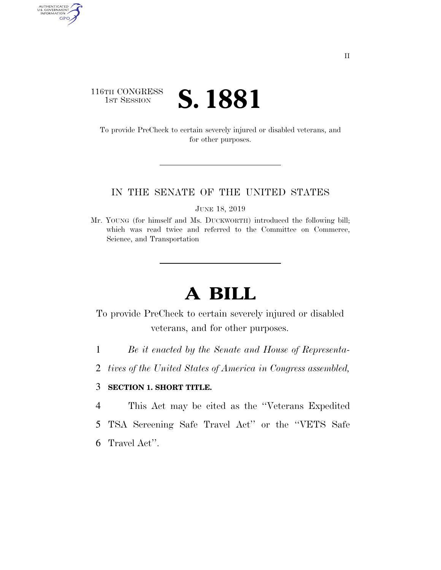### 116TH CONGRESS **IST SESSION S. 1881**

AUTHENTICATED<br>U.S. GOVERNMENT<br>INFORMATION GPO

> To provide PreCheck to certain severely injured or disabled veterans, and for other purposes.

#### IN THE SENATE OF THE UNITED STATES

JUNE 18, 2019

Mr. YOUNG (for himself and Ms. DUCKWORTH) introduced the following bill; which was read twice and referred to the Committee on Commerce, Science, and Transportation

# **A BILL**

To provide PreCheck to certain severely injured or disabled veterans, and for other purposes.

- 1 *Be it enacted by the Senate and House of Representa-*
- 2 *tives of the United States of America in Congress assembled,*

### 3 **SECTION 1. SHORT TITLE.**

- 4 This Act may be cited as the ''Veterans Expedited
- 5 TSA Screening Safe Travel Act'' or the ''VETS Safe
- 6 Travel Act''.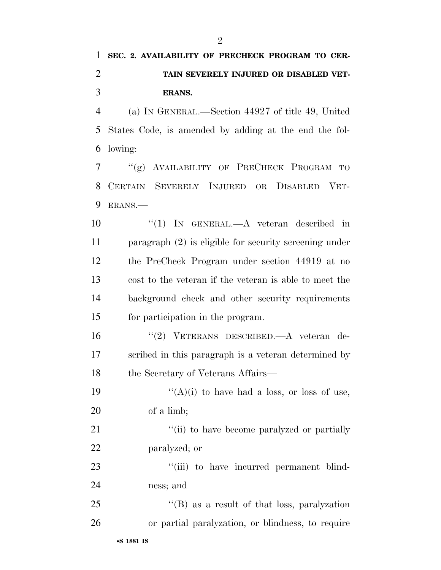## **SEC. 2. AVAILABILITY OF PRECHECK PROGRAM TO CER- TAIN SEVERELY INJURED OR DISABLED VET-ERANS.**

 (a) IN GENERAL.—Section 44927 of title 49, United States Code, is amended by adding at the end the fol-lowing:

 ''(g) AVAILABILITY OF PRECHECK PROGRAM TO CERTAIN SEVERELY INJURED OR DISABLED VET-ERANS.—

10 "(1) IN GENERAL.—A veteran described in paragraph (2) is eligible for security screening under the PreCheck Program under section 44919 at no cost to the veteran if the veteran is able to meet the background check and other security requirements for participation in the program.

 ''(2) VETERANS DESCRIBED.—A veteran de- scribed in this paragraph is a veteran determined by 18 the Secretary of Veterans Affairs—

19  $((A)(i)$  to have had a loss, or loss of use, of a limb;

21 ''(ii) to have become paralyzed or partially paralyzed; or

23 ""(iii) to have incurred permanent blind-ness; and

 ''(B) as a result of that loss, paralyzation or partial paralyzation, or blindness, to require